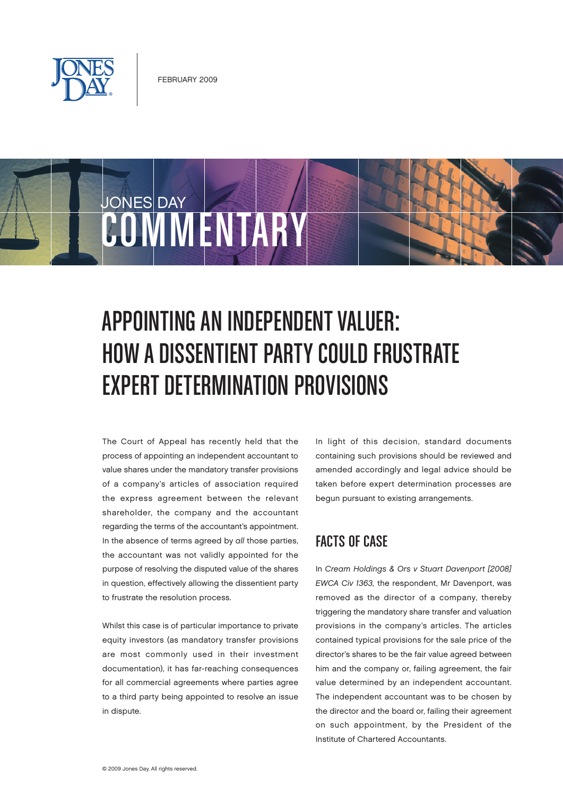

JONES DAY

# COMMENTARY

## APPOINTING AN INDEPENDENT VALUER: HOW A DISSENTIENT PARTY COULD FRUSTRATE EXPERT DETERMINATION PROVISIONS

The Court of Appeal has recently held that the process of appointing an independent accountant to value shares under the mandatory transfer provisions of a company's articles of association required the express agreement between the relevant shareholder, the company and the accountant regarding the terms of the accountant's appointment. In the absence of terms agreed by all those parties, the accountant was not validly appointed for the purpose of resolving the disputed value of the shares in question, effectively allowing the dissentient party to frustrate the resolution process.

Whilst this case is of particular importance to private equity investors (as mandatory transfer provisions are most commonly used in their investment documentation), it has far-reaching consequences for all commercial agreements where parties agree to a third party being appointed to resolve an issue in dispute.

In light of this decision, standard documents containing such provisions should be reviewed and amended accordingly and legal advice should be taken before expert determination processes are begun pursuant to existing arrangements.

### Facts of Case

In Cream Holdings & Ors v Stuart Davenport [2008] EWCA Civ 1363, the respondent, Mr Davenport, was removed as the director of a company, thereby triggering the mandatory share transfer and valuation provisions in the company's articles. The articles contained typical provisions for the sale price of the director's shares to be the fair value agreed between him and the company or, failing agreement, the fair value determined by an independent accountant. The independent accountant was to be chosen by the director and the board or, failing their agreement on such appointment, by the President of the Institute of Chartered Accountants.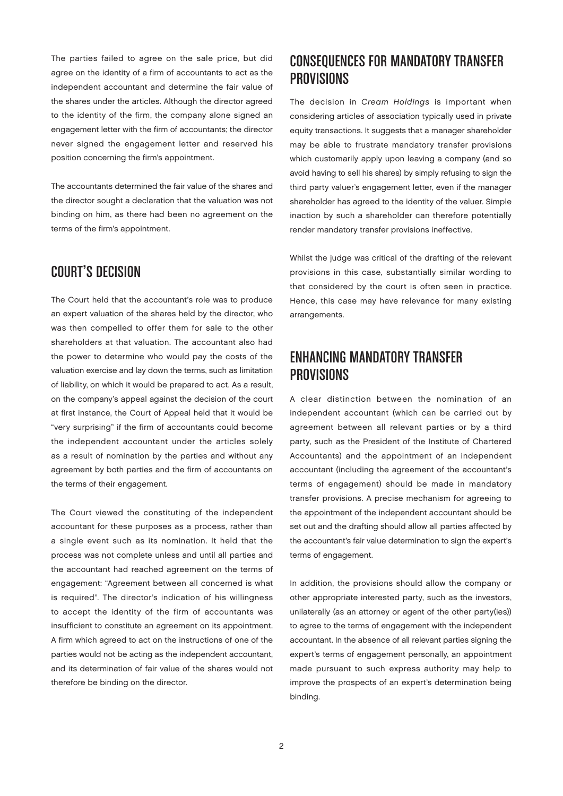The parties failed to agree on the sale price, but did agree on the identity of a firm of accountants to act as the independent accountant and determine the fair value of the shares under the articles. Although the director agreed to the identity of the firm, the company alone signed an engagement letter with the firm of accountants; the director never signed the engagement letter and reserved his position concerning the firm's appointment.

The accountants determined the fair value of the shares and the director sought a declaration that the valuation was not binding on him, as there had been no agreement on the terms of the firm's appointment.

#### Court's Decision

The Court held that the accountant's role was to produce an expert valuation of the shares held by the director, who was then compelled to offer them for sale to the other shareholders at that valuation. The accountant also had the power to determine who would pay the costs of the valuation exercise and lay down the terms, such as limitation of liability, on which it would be prepared to act. As a result, on the company's appeal against the decision of the court at first instance, the Court of Appeal held that it would be "very surprising" if the firm of accountants could become the independent accountant under the articles solely as a result of nomination by the parties and without any agreement by both parties and the firm of accountants on the terms of their engagement.

The Court viewed the constituting of the independent accountant for these purposes as a process, rather than a single event such as its nomination. It held that the process was not complete unless and until all parties and the accountant had reached agreement on the terms of engagement: "Agreement between all concerned is what is required". The director's indication of his willingness to accept the identity of the firm of accountants was insufficient to constitute an agreement on its appointment. A firm which agreed to act on the instructions of one of the parties would not be acting as the independent accountant, and its determination of fair value of the shares would not therefore be binding on the director.

### Consequences for Mandatory Transfer **PROVISIONS**

The decision in Cream Holdings is important when considering articles of association typically used in private equity transactions. It suggests that a manager shareholder may be able to frustrate mandatory transfer provisions which customarily apply upon leaving a company (and so avoid having to sell his shares) by simply refusing to sign the third party valuer's engagement letter, even if the manager shareholder has agreed to the identity of the valuer. Simple inaction by such a shareholder can therefore potentially render mandatory transfer provisions ineffective.

Whilst the judge was critical of the drafting of the relevant provisions in this case, substantially similar wording to that considered by the court is often seen in practice. Hence, this case may have relevance for many existing arrangements.

#### Enhancing Mandatory Transfer **PROVISIONS**

A clear distinction between the nomination of an independent accountant (which can be carried out by agreement between all relevant parties or by a third party, such as the President of the Institute of Chartered Accountants) and the appointment of an independent accountant (including the agreement of the accountant's terms of engagement) should be made in mandatory transfer provisions. A precise mechanism for agreeing to the appointment of the independent accountant should be set out and the drafting should allow all parties affected by the accountant's fair value determination to sign the expert's terms of engagement.

In addition, the provisions should allow the company or other appropriate interested party, such as the investors, unilaterally (as an attorney or agent of the other party(ies)) to agree to the terms of engagement with the independent accountant. In the absence of all relevant parties signing the expert's terms of engagement personally, an appointment made pursuant to such express authority may help to improve the prospects of an expert's determination being binding.